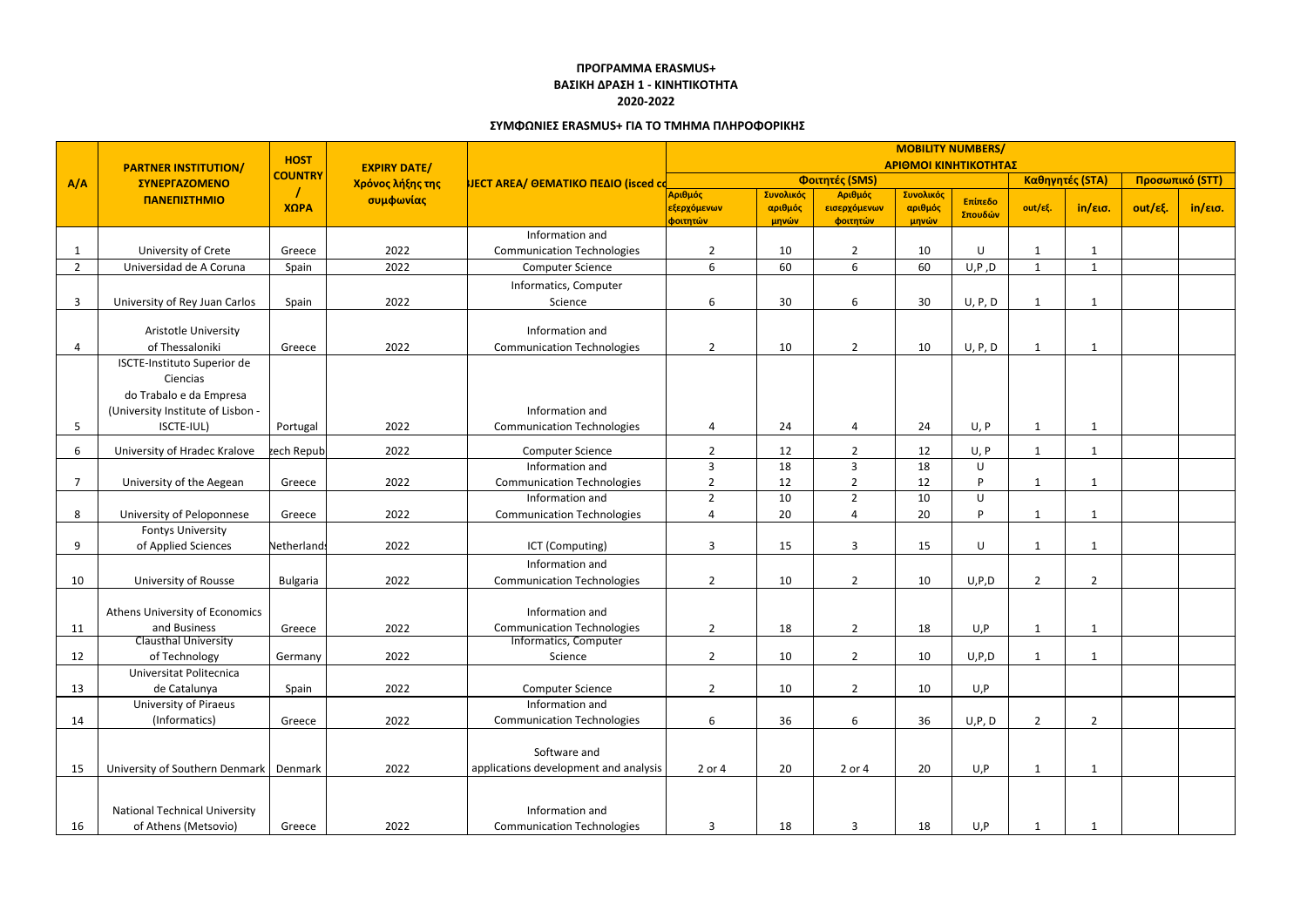|                         | <b>PARTNER INSTITUTION/</b>                                                                                           | <b>HOST</b>     | <b>EXPIRY DATE/</b><br>Χρόνος λήξης της<br>συμφωνίας | <b>NECT AREA/ ΘΕΜΑΤΙΚΟ ΠΕΔΙΟ (isced cd</b>            | <b>MOBILITY NUMBERS/</b><br>ΑΡΙΘΜΟΙ ΚΙΝΗΤΙΚΟΤΗΤΑΣ |                               |                                     |                               |                    |                |                 |         |                        |  |
|-------------------------|-----------------------------------------------------------------------------------------------------------------------|-----------------|------------------------------------------------------|-------------------------------------------------------|---------------------------------------------------|-------------------------------|-------------------------------------|-------------------------------|--------------------|----------------|-----------------|---------|------------------------|--|
| A/A                     | ΣΥΝΕΡΓΑΖΟΜΕΝΟ                                                                                                         | <b>COUNTRY</b>  |                                                      |                                                       | Φοιτητές (SMS)                                    |                               |                                     |                               |                    |                | Καθηγητές (STA) |         | <b>Προσωπικό (STT)</b> |  |
|                         | ΠΑΝΕΠΙΣΤΗΜΙΟ                                                                                                          | ΧΩΡΑ            |                                                      |                                                       | Αριθμός<br>εξερχόμενων<br>φοιτητών                | Συνολικός<br>αριθμός<br>μηνών | Αριθμός<br>εισερχόμενων<br>φοιτητών | Συνολικός<br>αριθμός<br>μηνών | Επίπεδο<br>Σπουδών | out/εξ.        | in/εισ.         | out/εξ. | $in/\epsilon$ ισ.      |  |
|                         |                                                                                                                       |                 |                                                      | Information and                                       |                                                   |                               |                                     |                               |                    |                |                 |         |                        |  |
|                         | University of Crete                                                                                                   | Greece          | 2022                                                 | <b>Communication Technologies</b>                     | $\overline{2}$                                    | 10                            | $\overline{2}$                      | 10                            | $\cup$             | $\mathbf{1}$   | -1              |         |                        |  |
| -2                      | Universidad de A Coruna                                                                                               | Spain           | 2022                                                 | <b>Computer Science</b>                               | 6                                                 | 60                            | 6                                   | 60                            | U, P, D            | $\mathbf{1}$   | $\mathbf{1}$    |         |                        |  |
|                         |                                                                                                                       |                 |                                                      | Informatics, Computer                                 |                                                   |                               |                                     |                               |                    |                |                 |         |                        |  |
| $\overline{\mathbf{3}}$ | University of Rey Juan Carlos                                                                                         | Spain           | 2022                                                 | Science                                               | 6                                                 | 30                            | 6                                   | 30                            | U, P, D            | $\mathbf{1}$   | -1              |         |                        |  |
|                         | Aristotle University<br>of Thessaloniki                                                                               | Greece          | 2022                                                 | Information and<br><b>Communication Technologies</b>  | $\overline{2}$                                    | 10                            | $\overline{2}$                      | 10                            | U, P, D            | $\mathbf{1}$   | 1               |         |                        |  |
| 5                       | ISCTE-Instituto Superior de<br>Ciencias<br>do Trabalo e da Empresa<br>(University Institute of Lisbon -<br>ISCTE-IUL) | Portugal        | 2022                                                 | Information and<br><b>Communication Technologies</b>  | 4                                                 | 24                            | $\Delta$                            | 24                            | U, P               | $\mathbf{1}$   | -1              |         |                        |  |
|                         |                                                                                                                       |                 |                                                      |                                                       |                                                   |                               |                                     |                               |                    |                |                 |         |                        |  |
| 6                       | University of Hradec Kralove                                                                                          | zech Republ     | 2022                                                 | <b>Computer Science</b>                               | $\overline{2}$                                    | 12                            | $\overline{2}$                      | 12                            | U, P               | $\mathbf{1}$   | $\mathbf{1}$    |         |                        |  |
|                         |                                                                                                                       | Greece          | 2022                                                 | Information and                                       | 3<br>$\overline{2}$                               | 18<br>12                      | 3<br>$\overline{2}$                 | 18<br>12                      | U<br>D             |                |                 |         |                        |  |
|                         | University of the Aegean                                                                                              |                 |                                                      | <b>Communication Technologies</b><br>Information and  | $\overline{2}$                                    | 10                            | $\overline{2}$                      | 10                            | U                  | 1              | 1               |         |                        |  |
| 8                       | University of Peloponnese                                                                                             | Greece          | 2022                                                 | <b>Communication Technologies</b>                     | 4                                                 | 20                            | $\overline{a}$                      | 20                            | D                  | $\mathbf{1}$   | $\mathbf{1}$    |         |                        |  |
|                         | <b>Fontys University</b>                                                                                              |                 |                                                      |                                                       |                                                   |                               |                                     |                               |                    |                |                 |         |                        |  |
| 9                       | of Applied Sciences                                                                                                   | Netherlands     | 2022                                                 | ICT (Computing)                                       | 3                                                 | 15                            | $\overline{3}$                      | 15                            | $\cup$             | -1             | -1              |         |                        |  |
|                         |                                                                                                                       |                 |                                                      | Information and                                       |                                                   |                               |                                     |                               |                    |                |                 |         |                        |  |
| 10                      | <b>University of Rousse</b>                                                                                           | <b>Bulgaria</b> | 2022                                                 | <b>Communication Technologies</b>                     | $\overline{2}$                                    | 10                            | $\overline{2}$                      | 10                            | U, P, D            | $\overline{2}$ | $\overline{2}$  |         |                        |  |
|                         |                                                                                                                       |                 |                                                      |                                                       |                                                   |                               |                                     |                               |                    |                |                 |         |                        |  |
|                         | Athens University of Economics                                                                                        |                 |                                                      | Information and                                       |                                                   |                               |                                     |                               |                    |                |                 |         |                        |  |
| 11                      | and Business                                                                                                          | Greece          | 2022                                                 | <b>Communication Technologies</b>                     | $\overline{2}$                                    | 18                            | $\overline{2}$                      | 18                            | U,P                | $\mathbf{1}$   | $\mathbf{1}$    |         |                        |  |
|                         | <b>Clausthal University</b>                                                                                           |                 |                                                      | Informatics, Computer                                 |                                                   |                               |                                     |                               |                    |                |                 |         |                        |  |
| 12                      | of Technology                                                                                                         | Germany         | 2022                                                 | Science                                               | $\overline{2}$                                    | 10                            | $\overline{2}$                      | 10                            | U, P, D            | 1              | $\mathbf{1}$    |         |                        |  |
|                         | Universitat Politecnica                                                                                               |                 |                                                      |                                                       |                                                   |                               |                                     |                               |                    |                |                 |         |                        |  |
| 13                      | de Catalunya                                                                                                          | Spain           | 2022                                                 | <b>Computer Science</b>                               | $\overline{2}$                                    | 10                            | $\overline{2}$                      | 10                            | U, P               |                |                 |         |                        |  |
|                         | University of Piraeus                                                                                                 |                 |                                                      | Information and                                       |                                                   |                               |                                     |                               |                    |                |                 |         |                        |  |
| 14                      | (Informatics)                                                                                                         | Greece          | 2022                                                 | <b>Communication Technologies</b>                     | 6                                                 | 36                            | 6                                   | 36                            | U, P, D            | $\overline{2}$ | $\overline{2}$  |         |                        |  |
| 15                      | University of Southern Denmark                                                                                        | Denmark         | 2022                                                 | Software and<br>applications development and analysis | 2 or 4                                            | 20                            | 2 or 4                              | 20                            | U, P               | $\mathbf{1}$   | 1               |         |                        |  |
|                         |                                                                                                                       |                 |                                                      |                                                       |                                                   |                               |                                     |                               |                    |                |                 |         |                        |  |
| 16                      | <b>National Technical University</b><br>of Athens (Metsovio)                                                          | Greece          | 2022                                                 | Information and<br><b>Communication Technologies</b>  | 3                                                 | 18                            | $\overline{3}$                      | 18                            | U,P                |                |                 |         |                        |  |

## **ΠΡΟΓΡΑΜΜΑ ERASMUS+ ΒΑΣΙΚΗ ΔΡΑΣΗ 1 - ΚΙΝΗΤΙΚΟΤΗΤΑ 2020-2022**

## **ΣΥΜΦΩΝΙΕΣ ERASMUS+ ΓΙΑ ΤΟ ΤΜΗΜΑ ΠΛΗΡΟΦΟΡΙΚΗΣ**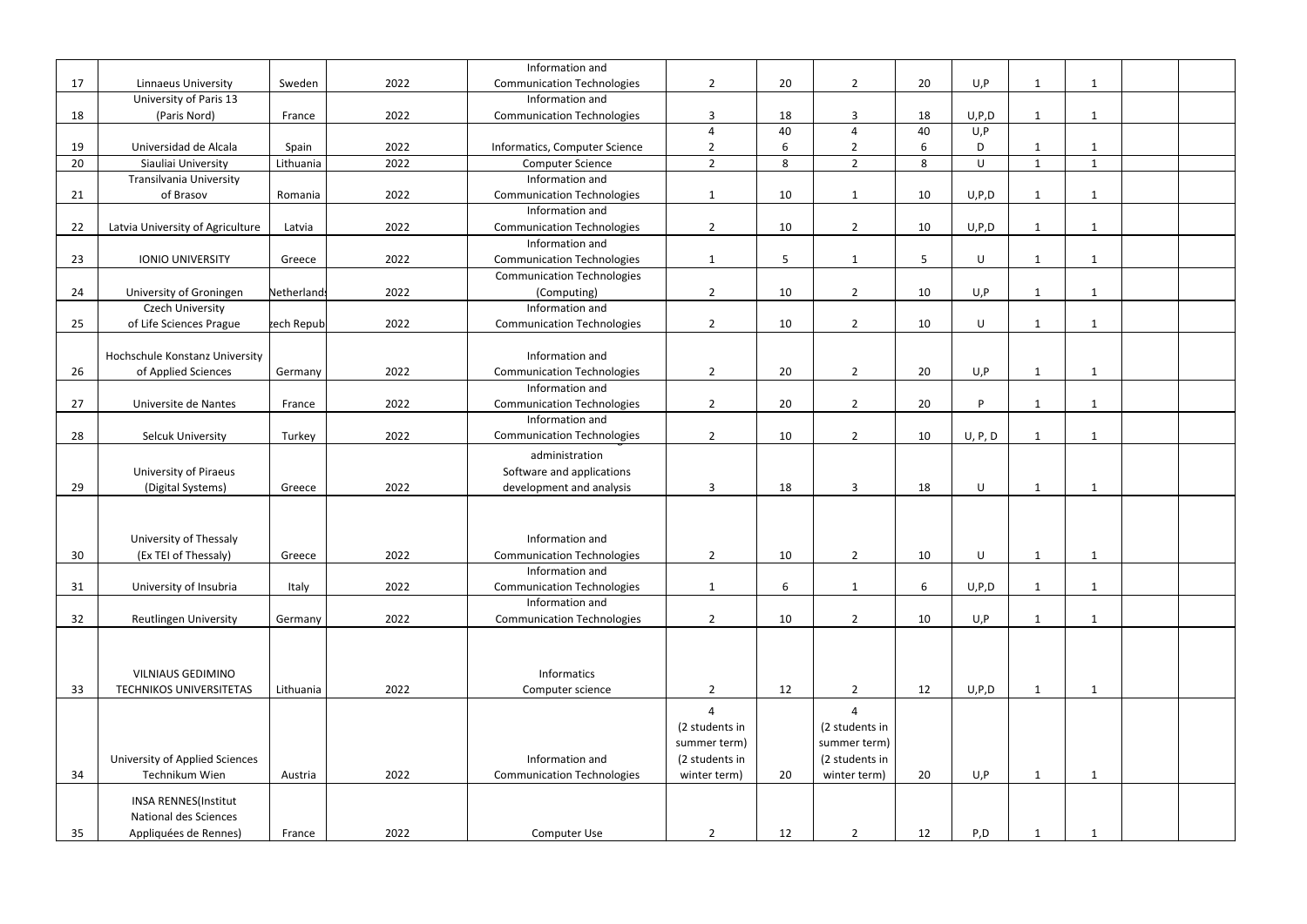|    |                                  |             |      | Information and                   |                |    |                |    |          |                |              |  |
|----|----------------------------------|-------------|------|-----------------------------------|----------------|----|----------------|----|----------|----------------|--------------|--|
| 17 | <b>Linnaeus University</b>       | Sweden      | 2022 | <b>Communication Technologies</b> | $\overline{2}$ | 20 | $\overline{2}$ | 20 | U, P     | $\mathbf{1}$   | $\mathbf{1}$ |  |
|    | University of Paris 13           |             |      | Information and                   |                |    |                |    |          |                |              |  |
| 18 | (Paris Nord)                     | France      | 2022 | <b>Communication Technologies</b> | $\overline{3}$ | 18 | $\overline{3}$ | 18 | U, P, D  | -1             | 1            |  |
|    |                                  |             |      |                                   | $\overline{4}$ | 40 | $\overline{4}$ | 40 | U, P     |                |              |  |
| 19 | Universidad de Alcala            | Spain       | 2022 | Informatics, Computer Science     | $\overline{2}$ | 6  | $\overline{2}$ | 6  | D        | $\mathbf{1}$   | $\mathbf 1$  |  |
| 20 | Siauliai University              | Lithuania   | 2022 | <b>Computer Science</b>           | $\overline{2}$ | 8  | $\overline{2}$ | 8  | U        | 1              | 1            |  |
|    | Transilvania University          |             |      | Information and                   |                |    |                |    |          |                |              |  |
| 21 | of Brasov                        | Romania     | 2022 | <b>Communication Technologies</b> | $\mathbf{1}$   | 10 | $\mathbf{1}$   | 10 | U, P, D  | $\mathbf 1$    | $\mathbf 1$  |  |
|    |                                  |             |      | Information and                   |                |    |                |    |          |                |              |  |
| 22 | Latvia University of Agriculture | Latvia      | 2022 | <b>Communication Technologies</b> | $\overline{2}$ | 10 | $\overline{2}$ | 10 | U, P, D  | $\mathbf{1}$   | 1            |  |
|    |                                  |             |      | Information and                   |                |    |                |    |          |                |              |  |
| 23 | <b>IONIO UNIVERSITY</b>          | Greece      | 2022 | <b>Communication Technologies</b> | $\mathbf{1}$   | 5  | $\mathbf{1}$   | 5  | $\sf U$  | $\mathbf{1}$   | 1            |  |
|    |                                  |             |      | <b>Communication Technologies</b> |                |    |                |    |          |                |              |  |
| 24 | University of Groningen          | Netherlands | 2022 | (Computing)                       | $\overline{2}$ | 10 | $\overline{2}$ | 10 | U, P     | $\mathbf{1}$   | $\mathbf 1$  |  |
|    | <b>Czech University</b>          |             |      | Information and                   |                |    |                |    |          |                |              |  |
| 25 | of Life Sciences Prague          | zech Republ | 2022 | <b>Communication Technologies</b> | $\overline{2}$ | 10 | $\overline{2}$ | 10 | U        | $\mathbf{1}$   | $\mathbf{1}$ |  |
|    |                                  |             |      |                                   |                |    |                |    |          |                |              |  |
|    | Hochschule Konstanz University   |             |      | Information and                   |                |    |                |    |          |                |              |  |
| 26 | of Applied Sciences              | Germany     | 2022 | <b>Communication Technologies</b> | $\overline{2}$ | 20 | $\overline{2}$ | 20 | U, P     | $\mathbf{1}$   | 1            |  |
|    |                                  |             |      | Information and                   |                |    |                |    |          |                |              |  |
| 27 | Universite de Nantes             | France      | 2022 | <b>Communication Technologies</b> | $\overline{2}$ | 20 | $\overline{2}$ | 20 | <b>D</b> | $\mathbf{1}$   | 1            |  |
|    |                                  |             |      | Information and                   |                |    |                |    |          |                |              |  |
| 28 | <b>Selcuk University</b>         | Turkey      | 2022 | <b>Communication Technologies</b> | $\overline{2}$ | 10 | $\overline{2}$ | 10 | U, P, D  | $\mathbf{1}$   | 1            |  |
|    |                                  |             |      | administration                    |                |    |                |    |          |                |              |  |
|    | <b>University of Piraeus</b>     |             |      | Software and applications         |                |    |                |    |          |                |              |  |
| 29 | (Digital Systems)                | Greece      | 2022 | development and analysis          | 3              | 18 | $\overline{3}$ | 18 | $\sf U$  | $\mathbf{1}$   | 1            |  |
|    |                                  |             |      |                                   |                |    |                |    |          |                |              |  |
|    |                                  |             |      |                                   |                |    |                |    |          |                |              |  |
|    | University of Thessaly           |             |      | Information and                   |                |    |                |    |          |                |              |  |
| 30 | (Ex TEI of Thessaly)             | Greece      | 2022 | <b>Communication Technologies</b> | $\overline{2}$ | 10 | $\overline{2}$ | 10 | $\sf U$  | $\mathbf{1}$   | $\mathbf{1}$ |  |
|    |                                  |             |      | Information and                   |                |    |                |    |          |                |              |  |
| 31 | University of Insubria           | Italy       | 2022 | <b>Communication Technologies</b> | $\mathbf{1}$   | 6  | $\mathbf{1}$   | 6  | U, P, D  | $\mathbf{1}$   | $\mathbf{1}$ |  |
|    |                                  |             |      | Information and                   |                |    |                |    |          |                |              |  |
| 32 | <b>Reutlingen University</b>     | Germany     | 2022 | <b>Communication Technologies</b> | $\overline{2}$ | 10 | $\overline{2}$ | 10 | U, P     | $\mathbf{1}$   | $\mathbf 1$  |  |
|    |                                  |             |      |                                   |                |    |                |    |          |                |              |  |
|    |                                  |             |      |                                   |                |    |                |    |          |                |              |  |
|    |                                  |             |      |                                   |                |    |                |    |          |                |              |  |
|    | <b>VILNIAUS GEDIMINO</b>         |             |      | Informatics                       |                |    |                |    |          |                |              |  |
| 33 | TECHNIKOS UNIVERSITETAS          | Lithuania   | 2022 | Computer science                  | $\overline{2}$ | 12 | $\overline{2}$ | 12 | U, P, D  | $\mathbf{1}$   | $\mathbf{1}$ |  |
|    |                                  |             |      |                                   | $\overline{4}$ |    | $\overline{4}$ |    |          |                |              |  |
|    |                                  |             |      |                                   | (2 students in |    | (2 students in |    |          |                |              |  |
|    |                                  |             |      |                                   | summer term)   |    | summer term)   |    |          |                |              |  |
|    | University of Applied Sciences   |             |      | Information and                   | (2 students in |    | (2 students in |    |          |                |              |  |
| 34 | Technikum Wien                   | Austria     | 2022 | <b>Communication Technologies</b> | winter term)   | 20 | winter term)   | 20 | U, P     | $\mathbf{1}$   | $\mathbf{1}$ |  |
|    | <b>INSA RENNES(Institut</b>      |             |      |                                   |                |    |                |    |          |                |              |  |
|    | National des Sciences            |             |      |                                   |                |    |                |    |          |                |              |  |
| 35 | Appliquées de Rennes)            | France      | 2022 | Computer Use                      | $\overline{2}$ | 12 | $\overline{2}$ | 12 | P, D     | $\overline{1}$ | $\mathbf 1$  |  |
|    |                                  |             |      |                                   |                |    |                |    |          |                |              |  |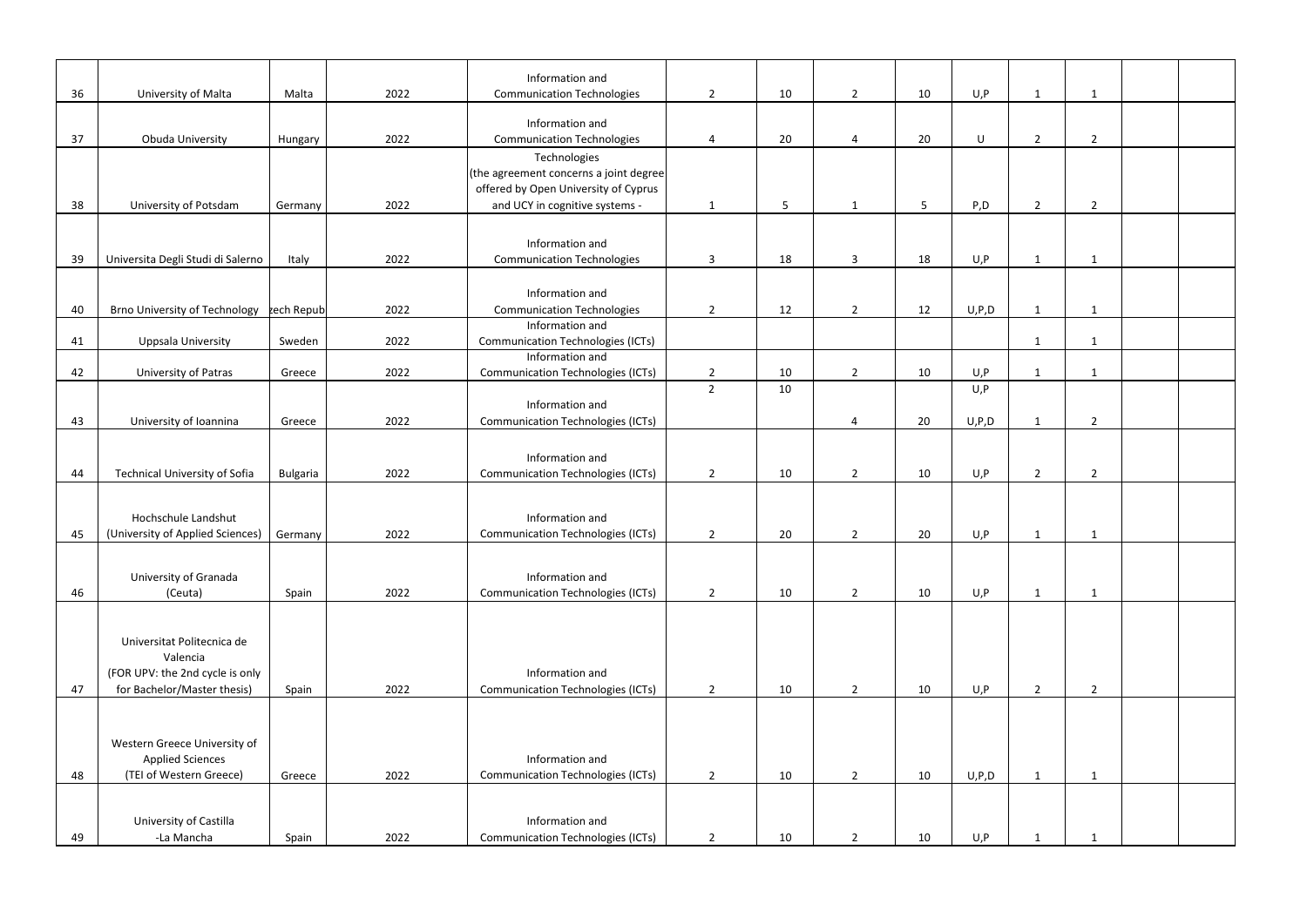|    |                                           |                 |      | Information and                          |                |    |                |    |         |                |                |  |
|----|-------------------------------------------|-----------------|------|------------------------------------------|----------------|----|----------------|----|---------|----------------|----------------|--|
| 36 | University of Malta                       | Malta           | 2022 | <b>Communication Technologies</b>        | $\overline{2}$ | 10 | $\overline{2}$ | 10 | U, P    | $\mathbf{1}$   | $\mathbf{1}$   |  |
|    |                                           |                 |      |                                          |                |    |                |    |         |                |                |  |
|    |                                           |                 |      | Information and                          |                |    |                |    |         |                |                |  |
| 37 | Obuda University                          | Hungary         | 2022 | <b>Communication Technologies</b>        | 4              | 20 | $\overline{4}$ | 20 | U       | $\overline{2}$ | $\overline{2}$ |  |
|    |                                           |                 |      | Technologies                             |                |    |                |    |         |                |                |  |
|    |                                           |                 |      | (the agreement concerns a joint degree)  |                |    |                |    |         |                |                |  |
|    |                                           |                 |      | offered by Open University of Cyprus     |                |    |                |    |         |                |                |  |
| 38 | University of Potsdam                     | Germany         | 2022 | and UCY in cognitive systems -           | $\mathbf{1}$   | 5  | 1              | 5  | P, D    | $\overline{2}$ | $\overline{2}$ |  |
|    |                                           |                 |      |                                          |                |    |                |    |         |                |                |  |
|    |                                           |                 |      |                                          |                |    |                |    |         |                |                |  |
|    |                                           |                 |      | Information and                          |                |    |                |    |         |                |                |  |
| 39 | Universita Degli Studi di Salerno         | Italy           | 2022 | <b>Communication Technologies</b>        | $\overline{3}$ | 18 | $\overline{3}$ | 18 | U, P    | $\mathbf{1}$   | $\mathbf{1}$   |  |
|    |                                           |                 |      |                                          |                |    |                |    |         |                |                |  |
|    |                                           |                 |      | Information and                          |                |    |                |    |         |                |                |  |
| 40 | Brno University of Technology rech Republ |                 | 2022 | <b>Communication Technologies</b>        | $\overline{2}$ | 12 | $\overline{2}$ | 12 | U, P, D | $\mathbf{1}$   | $\mathbf{1}$   |  |
|    |                                           |                 |      | Information and                          |                |    |                |    |         |                |                |  |
| 41 | <b>Uppsala University</b>                 | Sweden          | 2022 | <b>Communication Technologies (ICTs)</b> |                |    |                |    |         | -1             | 1              |  |
|    |                                           |                 |      | Information and                          |                |    |                |    |         |                |                |  |
| 42 | University of Patras                      | Greece          | 2022 | <b>Communication Technologies (ICTs)</b> | $\overline{2}$ | 10 | $\overline{2}$ | 10 | U, P    | $\mathbf{1}$   | 1              |  |
|    |                                           |                 |      |                                          | $\overline{2}$ | 10 |                |    | U, P    |                |                |  |
|    |                                           |                 |      | Information and                          |                |    |                |    |         |                |                |  |
| 43 | University of Ioannina                    | Greece          | 2022 | <b>Communication Technologies (ICTs)</b> |                |    | $\overline{a}$ | 20 | U, P, D | $\mathbf{1}$   | $\overline{2}$ |  |
|    |                                           |                 |      |                                          |                |    |                |    |         |                |                |  |
|    |                                           |                 |      | Information and                          |                |    |                |    |         |                |                |  |
| 44 | <b>Technical University of Sofia</b>      | <b>Bulgaria</b> | 2022 | <b>Communication Technologies (ICTs)</b> | $\overline{2}$ | 10 | $\overline{2}$ | 10 | U, P    | $\overline{2}$ | $\overline{2}$ |  |
|    |                                           |                 |      |                                          |                |    |                |    |         |                |                |  |
|    |                                           |                 |      |                                          |                |    |                |    |         |                |                |  |
|    | Hochschule Landshut                       |                 |      | Information and                          |                |    |                |    |         |                |                |  |
| 45 | (University of Applied Sciences)          | Germany         | 2022 | <b>Communication Technologies (ICTs)</b> | $\overline{2}$ | 20 | $\overline{2}$ | 20 | U, P    | -1             | $\mathbf 1$    |  |
|    |                                           |                 |      |                                          |                |    |                |    |         |                |                |  |
|    |                                           |                 |      |                                          |                |    |                |    |         |                |                |  |
|    | University of Granada                     |                 |      | Information and                          |                |    |                |    |         |                |                |  |
| 46 | (Ceuta)                                   | Spain           | 2022 | <b>Communication Technologies (ICTs)</b> | $\overline{2}$ | 10 | $\overline{2}$ | 10 | U, P    | $\mathbf{1}$   | $\mathbf{1}$   |  |
|    |                                           |                 |      |                                          |                |    |                |    |         |                |                |  |
|    |                                           |                 |      |                                          |                |    |                |    |         |                |                |  |
|    | Universitat Politecnica de                |                 |      |                                          |                |    |                |    |         |                |                |  |
|    | Valencia                                  |                 |      |                                          |                |    |                |    |         |                |                |  |
|    | (FOR UPV: the 2nd cycle is only           |                 |      | Information and                          |                |    |                |    |         |                |                |  |
| 47 | for Bachelor/Master thesis)               | Spain           | 2022 | <b>Communication Technologies (ICTs)</b> | $\overline{2}$ | 10 | $\overline{2}$ | 10 | U, P    | $\overline{2}$ | $\overline{2}$ |  |
|    |                                           |                 |      |                                          |                |    |                |    |         |                |                |  |
|    |                                           |                 |      |                                          |                |    |                |    |         |                |                |  |
|    |                                           |                 |      |                                          |                |    |                |    |         |                |                |  |
|    | Western Greece University of              |                 |      |                                          |                |    |                |    |         |                |                |  |
|    | <b>Applied Sciences</b>                   |                 |      | Information and                          |                |    |                |    |         |                |                |  |
| 48 | (TEI of Western Greece)                   | Greece          | 2022 | <b>Communication Technologies (ICTs)</b> | $\overline{2}$ | 10 | $\overline{2}$ | 10 | U, P, D | $\mathbf{1}$   | 1              |  |
|    |                                           |                 |      |                                          |                |    |                |    |         |                |                |  |
|    | University of Castilla                    |                 |      | Information and                          |                |    |                |    |         |                |                |  |
| 49 | -La Mancha                                | Spain           | 2022 | <b>Communication Technologies (ICTs)</b> | $\overline{2}$ | 10 | $\overline{2}$ | 10 | U, P    |                | 1              |  |
|    |                                           |                 |      |                                          |                |    |                |    |         |                |                |  |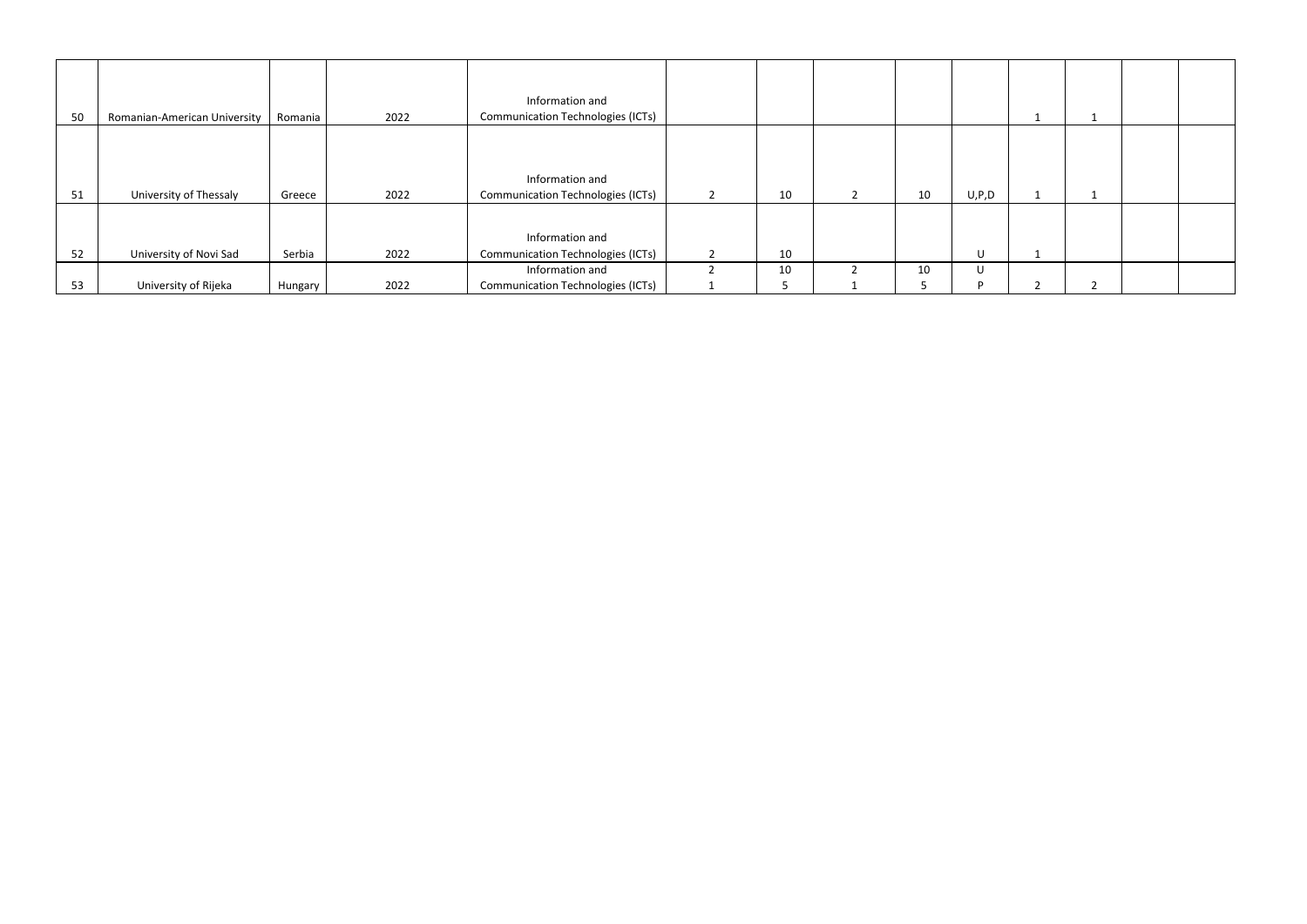| 50 | Romanian-American University | Romania | 2022 | Information and<br><b>Communication Technologies (ICTs)</b> |    |    |         |  |  |
|----|------------------------------|---------|------|-------------------------------------------------------------|----|----|---------|--|--|
| 51 | University of Thessaly       | Greece  | 2022 | Information and<br><b>Communication Technologies (ICTs)</b> | 10 | 10 | U, P, D |  |  |
| 52 | University of Novi Sad       | Serbia  | 2022 | Information and<br><b>Communication Technologies (ICTs)</b> | 10 |    | U       |  |  |
| 53 | University of Rijeka         | Hungary | 2022 | Information and<br><b>Communication Technologies (ICTs)</b> | 10 | 10 | U       |  |  |